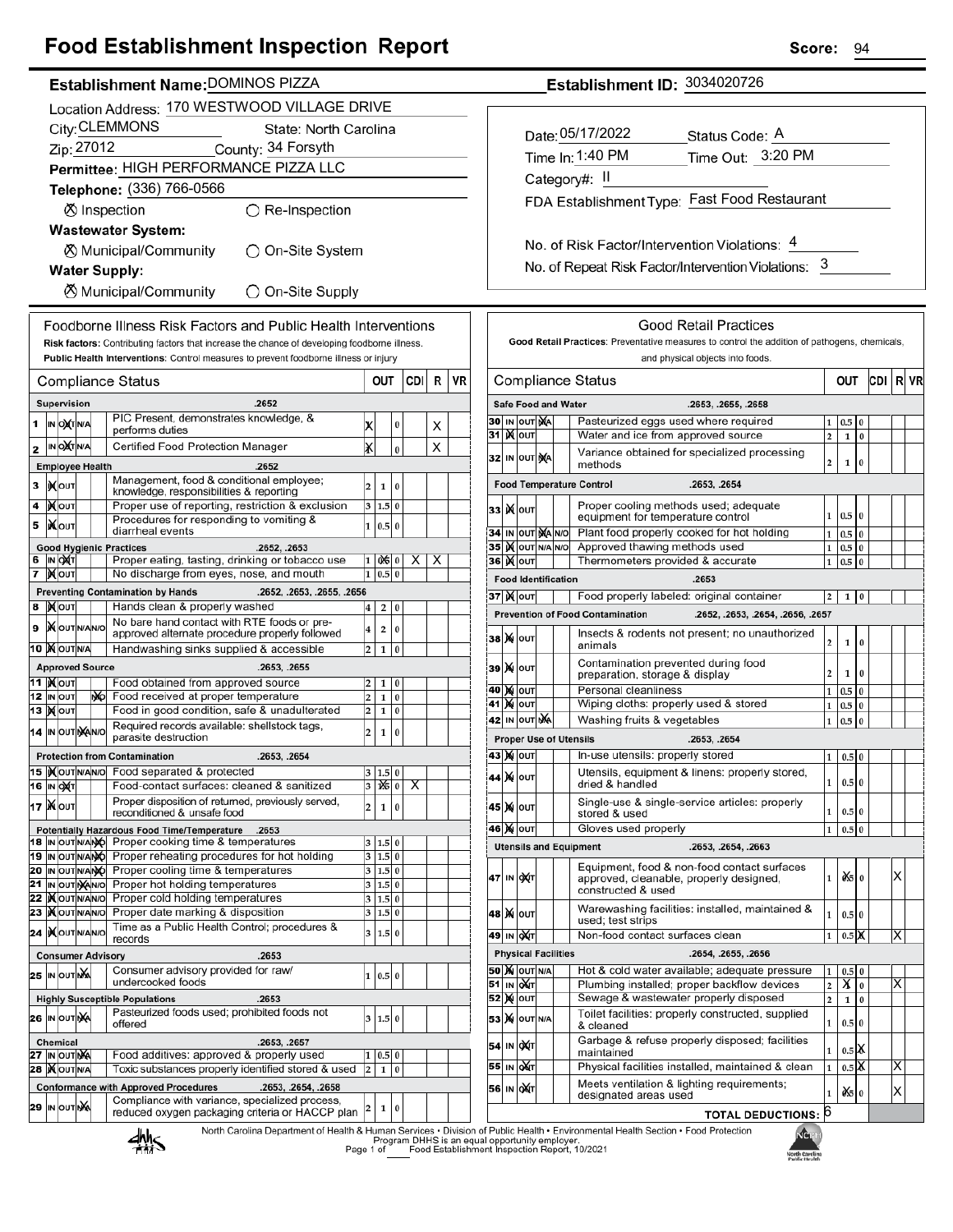## **Food Establishment Inspection Report**

| Establishment Name: DOMINOS PIZZA |
|-----------------------------------|
|                                   |

|        | Location Address: 170 WESTWOOD VILLAGE DRIVE |                                  |  |    |                                                                                                                      |                         |                          |           |     |   |    |
|--------|----------------------------------------------|----------------------------------|--|----|----------------------------------------------------------------------------------------------------------------------|-------------------------|--------------------------|-----------|-----|---|----|
|        | City: CLEMMONS<br>State: North Carolina      |                                  |  |    |                                                                                                                      |                         |                          |           |     |   |    |
|        |                                              | Zip: 27012                       |  |    | County: 34 Forsyth                                                                                                   |                         |                          |           |     |   |    |
|        | Permittee: HIGH PERFORMANCE PIZZA LLC        |                                  |  |    |                                                                                                                      |                         |                          |           |     |   |    |
|        |                                              |                                  |  |    | Telephone: (336) 766-0566                                                                                            |                         |                          |           |     |   |    |
|        |                                              |                                  |  |    | ◯ Re-Inspection<br><b>⊗</b> Inspection                                                                               |                         |                          |           |     |   |    |
|        |                                              |                                  |  |    | <b>Wastewater System:</b>                                                                                            |                         |                          |           |     |   |    |
|        |                                              |                                  |  |    | ⊗ Municipal/Community<br>◯ On-Site System                                                                            |                         |                          |           |     |   |    |
|        |                                              |                                  |  |    | <b>Water Supply:</b>                                                                                                 |                         |                          |           |     |   |    |
|        | ⊗ Municipal/Community<br>◯ On-Site Supply    |                                  |  |    |                                                                                                                      |                         |                          |           |     |   |    |
|        |                                              |                                  |  |    | Foodborne Illness Risk Factors and Public Health Interventions                                                       |                         |                          |           |     |   |    |
|        |                                              |                                  |  |    | Risk factors: Contributing factors that increase the chance of developing foodborne illness.                         |                         |                          |           |     |   |    |
|        |                                              |                                  |  |    | Public Health Interventions: Control measures to prevent foodborne illness or injury                                 |                         |                          |           |     |   |    |
|        |                                              |                                  |  |    | Compliance Status                                                                                                    |                         | ουτ                      |           | CDI | R | VR |
|        |                                              | Supervision                      |  |    | .2652                                                                                                                |                         |                          |           |     |   |    |
| 1      |                                              | IN OXTNA                         |  |    | PIC Present, demonstrates knowledge, &<br>performs duties                                                            | Х                       |                          | 0         |     | x |    |
| 2      |                                              | IN OCTNA                         |  |    | Certified Food Protection Manager                                                                                    | x                       |                          | $\bf{0}$  |     | x |    |
|        |                                              | <b>Employee Health</b>           |  |    | .2652                                                                                                                |                         |                          |           |     |   |    |
| 3      |                                              | <b>IXOUT</b>                     |  |    | Management, food & conditional employee;<br>knowledge, responsibilities & reporting                                  | 2                       | 1                        | 0         |     |   |    |
| 4      |                                              | ∣)X∣oυτ                          |  |    | Proper use of reporting, restriction & exclusion                                                                     | 3                       | 1.5 0                    |           |     |   |    |
| 5      |                                              | liX∣oυт                          |  |    | Procedures for responding to vomiting &<br>diarrheal events                                                          | $\mathbf{1}$            | 0.5                      | $\bf{0}$  |     |   |    |
|        |                                              |                                  |  |    | <b>Good Hygienic Practices</b><br>.2652, .2653                                                                       |                         |                          |           |     |   |    |
| 6<br>7 |                                              | IN OXT<br><b>X</b> OUT           |  |    | Proper eating, tasting, drinking or tobacco use<br>No discharge from eyes, nose, and mouth                           | 1<br>1                  | $0 \times 0$<br>0.5      | $\bf{0}$  | х   | х |    |
|        |                                              |                                  |  |    | <b>Preventing Contamination by Hands</b><br>.2652, .2653, .2655, .2656                                               |                         |                          |           |     |   |    |
| 8      |                                              | <b>X</b> OUT                     |  |    | Hands clean & properly washed                                                                                        | 4                       | 2                        | 0         |     |   |    |
| 9      |                                              | <b>X</b> OUTINANO                |  |    | No bare hand contact with RTE foods or pre-<br>approved alternate procedure properly followed                        | 4                       | 2                        | 0         |     |   |    |
|        |                                              | 10 MOUTNA                        |  |    | Handwashing sinks supplied & accessible                                                                              | $\overline{2}$          | 1                        | 0         |     |   |    |
|        |                                              | <b>Approved Source</b>           |  |    | .2653, .2655                                                                                                         |                         |                          |           |     |   |    |
|        |                                              | 11   <b>)</b> ( олт<br>12 IN OUT |  | МÓ | Food obtained from approved source<br>Food received at proper temperature                                            | 2<br>2                  | 1<br>1                   | 0<br>0    |     |   |    |
|        |                                              | 13   <b>)(</b>  оит              |  |    | Food in good condition, safe & unadulterated                                                                         | 2                       | 1                        | 0         |     |   |    |
|        |                                              | 14 IN OUT NAINO                  |  |    | Required records available: shellstock tags,<br>$\overline{2}$<br>0<br>1<br>parasite destruction                     |                         |                          |           |     |   |    |
|        |                                              |                                  |  |    | <b>Protection from Contamination</b><br>.2653, .2654                                                                 |                         |                          |           |     |   |    |
|        |                                              | 15  ) OUTNANO                    |  |    | Food separated & protected<br>Food-contact surfaces: cleaned & sanitized                                             | 3<br>3                  | 1.5 0<br>$\frac{1}{6}$ 0 |           | x   |   |    |
|        |                                              | <b>16 IN OXT</b><br>17   Nout    |  |    | Proper disposition of returned, previously served,                                                                   |                         |                          |           |     |   |    |
|        |                                              |                                  |  |    | reconditioned & unsafe food                                                                                          | 2                       | 1                        | $\pmb{0}$ |     |   |    |
|        |                                              | 18 IN OUT NANO                   |  |    | Potentially Hazardous Food Time/Temperature<br>.2653<br>Proper cooking time & temperatures                           | 3                       | 1.5 0                    |           |     |   |    |
|        |                                              | 19 IN OUT NANÓ                   |  |    | Proper reheating procedures for hot holding                                                                          | 3                       | $1.5$ 0                  |           |     |   |    |
|        |                                              |                                  |  |    | 20 IN OUT N/ANO Proper cooling time & temperatures                                                                   | 3                       | 1.5 0                    |           |     |   |    |
|        |                                              | 21 IN OUT NANO<br>22   OUTNANO   |  |    | Proper hot holding temperatures<br>Proper cold holding temperatures                                                  | 3<br>3                  | 1.5 0<br>1.5 0           |           |     |   |    |
| 23     |                                              | <b>IX</b> OUTNANO                |  |    | Proper date marking & disposition                                                                                    | 3                       | 1.5                      | $\bf{0}$  |     |   |    |
|        |                                              | 24 IXOUTNANO                     |  |    | Time as a Public Health Control; procedures &<br>records                                                             | 3                       | 1.5                      | $\bf{0}$  |     |   |    |
|        |                                              |                                  |  |    | .2653<br><b>Consumer Advisory</b>                                                                                    |                         |                          |           |     |   |    |
|        |                                              | 25 IN OUTING                     |  |    | Consumer advisory provided for raw/<br>undercooked foods                                                             | 1                       | $0.5$ 0                  |           |     |   |    |
|        |                                              |                                  |  |    | .2653<br><b>Highly Susceptible Populations</b>                                                                       |                         |                          |           |     |   |    |
|        |                                              | 26 IN OUTINA                     |  |    | Pasteurized foods used; prohibited foods not<br>offered                                                              | 3                       | 1.5 0                    |           |     |   |    |
|        |                                              | <b>Chemical</b>                  |  |    | .2653, .2657                                                                                                         |                         |                          |           |     |   |    |
|        |                                              | 27 IN OUT NA                     |  |    | Food additives: approved & properly used                                                                             | 1                       | 0.5                      | 0         |     |   |    |
|        |                                              | <b>28   OUT N/A</b>              |  |    | Toxic substances properly identified stored & used                                                                   | $\overline{\mathbf{c}}$ | 1                        | $\bf{0}$  |     |   |    |
|        |                                              | 29 IN OUT NA                     |  |    | <b>Conformance with Approved Procedures</b><br>.2653, .2654, .2658<br>Compliance with variance, specialized process, |                         |                          |           |     |   |    |
|        |                                              |                                  |  |    | reduced oxygen packaging criteria or HACCP plan                                                                      | 2                       | 1                        | 0         |     |   |    |

| Establishment ID: 3034020726 |  |
|------------------------------|--|
|------------------------------|--|

| Date: 05/17/2022                             | Status Code: A    |
|----------------------------------------------|-------------------|
| Time In: 1:40 PM                             | Time Out: 3:20 PM |
| Category#: II                                |                   |
| FDA Establishment Type: Fast Food Restaurant |                   |
|                                              |                   |

No. of Risk Factor/Intervention Violations: 4 No. of Repeat Risk Factor/Intervention Violations: 3

|    |       |                                                                          |  |  | <b>Good Retail Practices</b>                                                                                      |                   |                                       |          |     |    |    |
|----|-------|--------------------------------------------------------------------------|--|--|-------------------------------------------------------------------------------------------------------------------|-------------------|---------------------------------------|----------|-----|----|----|
|    |       |                                                                          |  |  | Good Retail Practices: Preventative measures to control the addition of pathogens, chemicals,                     |                   |                                       |          |     |    |    |
|    |       |                                                                          |  |  | and physical objects into foods.                                                                                  |                   |                                       |          |     |    |    |
|    |       |                                                                          |  |  | <b>Compliance Status</b>                                                                                          |                   | out                                   |          | CDI | RI | VR |
|    |       | <b>Safe Food and Water</b>                                               |  |  | .2653, .2655, .2658                                                                                               |                   |                                       |          |     |    |    |
| 30 | IN    | OUT NA                                                                   |  |  | Pasteurized eggs used where required                                                                              | 1                 | $_{0.5}$                              | 0        |     |    |    |
| 31 |       | <b>K</b> lout                                                            |  |  | Water and ice from approved source                                                                                | $\overline{a}$    | 1                                     | $\bf{0}$ |     |    |    |
| 32 |       | IN OUT NA                                                                |  |  | Variance obtained for specialized processing<br>methods                                                           | $\overline{2}$    | 1                                     | $\bf{0}$ |     |    |    |
|    |       |                                                                          |  |  | .2653, .2654<br><b>Food Temperature Control</b>                                                                   |                   |                                       |          |     |    |    |
| 33 |       | <b>K</b> lout                                                            |  |  | Proper cooling methods used; adequate<br>equipment for temperature control                                        | 1                 | 0.5                                   | $\bf{0}$ |     |    |    |
| 34 |       | IN OUT MA NO                                                             |  |  | Plant food properly cooked for hot holding                                                                        | $\mathbf{1}$      | 0.5                                   | $\bf{0}$ |     |    |    |
| 35 |       | IX OUT N/A N/O                                                           |  |  | Approved thawing methods used                                                                                     | 1                 | 0.5                                   | 0        |     |    |    |
| 36 | IМ    | OUT                                                                      |  |  | Thermometers provided & accurate                                                                                  | 1                 | 0.5                                   | $\bf{0}$ |     |    |    |
|    |       | <b>Food Identification</b>                                               |  |  | .2653                                                                                                             |                   |                                       |          |     |    |    |
|    |       | 37   <b>)(</b>   оит                                                     |  |  | Food properly labeled: original container                                                                         | 2                 | 1                                     | 0        |     |    |    |
|    |       |                                                                          |  |  | <b>Prevention of Food Contamination</b><br>.2652, .2653, .2654, .2656, .2657                                      |                   |                                       |          |     |    |    |
| 38 |       | <b>X</b> OUT                                                             |  |  | Insects & rodents not present; no unauthorized<br>animals                                                         | 2                 | 1                                     | 0        |     |    |    |
| 39 |       | <b>X</b> OUT                                                             |  |  | Contamination prevented during food<br>preparation, storage & display                                             | 2                 | 1                                     | $\bf{0}$ |     |    |    |
| 40 | M     | OUT                                                                      |  |  | Personal cleanliness                                                                                              | $\mathbf{1}$      | 0.5                                   | $\bf{0}$ |     |    |    |
| 41 | M     | OUT                                                                      |  |  | Wiping cloths: properly used & stored                                                                             | 1                 | 0.5                                   | $\bf{0}$ |     |    |    |
| 42 | IN    | ουτ ΝΑ                                                                   |  |  | Washing fruits & vegetables                                                                                       | 1                 | 0.5                                   | $\bf{0}$ |     |    |    |
|    |       |                                                                          |  |  | <b>Proper Use of Utensils</b><br>.2653, .2654                                                                     |                   |                                       |          |     |    |    |
|    | 43 M  | OUT                                                                      |  |  | In-use utensils: properly stored                                                                                  | 1                 | 0.5                                   | $\bf{0}$ |     |    |    |
| 44 | M     | Utensils, equipment & linens: properly stored,<br>OUT<br>dried & handled |  |  |                                                                                                                   | 1                 | 0.5 0                                 |          |     |    |    |
| 45 | M     | <b>OUT</b>                                                               |  |  | Single-use & single-service articles: properly<br>stored & used                                                   | 1                 | 0.5 0                                 |          |     |    |    |
| 46 | M     | OUT                                                                      |  |  | Gloves used properly                                                                                              | 1                 | 0.5                                   | $\bf{0}$ |     |    |    |
|    |       |                                                                          |  |  | <b>Utensils and Equipment</b><br>.2653, .2654, .2663                                                              |                   |                                       |          |     |    |    |
| 47 | IN    | ∣OX∣⊤                                                                    |  |  | Equipment, food & non-food contact surfaces<br>approved, cleanable, properly designed,<br>constructed & used      | $\mathbf{1}$      | ÒŚ.                                   | $\bf{0}$ |     | x  |    |
| 48 |       | <b>X</b> OUT                                                             |  |  | Warewashing facilities: installed, maintained &<br>used; test strips                                              | 1                 | 0.5                                   | $\bf{0}$ |     |    |    |
| 49 |       | IN OUT                                                                   |  |  | Non-food contact surfaces clean                                                                                   | 1                 | 0.5                                   | Iх       |     | Χ  |    |
|    |       | <b>Physical Facilities</b>                                               |  |  | .2654, .2655, .2656                                                                                               |                   |                                       |          |     |    |    |
| 50 | М     | OUT N/A                                                                  |  |  | Hot & cold water available; adequate pressure                                                                     | 1                 | 0.5                                   | $\bf{0}$ |     |    |    |
| 51 | IN    | OUT                                                                      |  |  | Plumbing installed; proper backflow devices                                                                       | 2                 | х                                     | $\bf{0}$ |     | Χ  |    |
| 52 | M     | OUT                                                                      |  |  | Sewage & wastewater properly disposed                                                                             | $\overline{2}$    | $\mathbf{1}$                          | 0        |     |    |    |
|    |       | <b>53 X OUT N/A</b>                                                      |  |  | Toilet facilities: properly constructed, supplied<br>& cleaned                                                    | 1                 | 0.5 0                                 |          |     |    |    |
| 55 | 54 IN | loX∣⊤                                                                    |  |  | Garbage & refuse properly disposed; facilities<br>maintained<br>Physical facilities installed, maintained & clean | 1                 | $0.5$ $\mathsf{K}$                    |          |     | X  |    |
|    |       | IN OUT<br>56 IN OXT                                                      |  |  | Meets ventilation & lighting requirements;<br>designated areas used                                               | $\mathbf{1}$<br>1 | $0.5$ $\overline{\mathsf{X}}$<br>ò‰lo |          |     | X  |    |
|    |       |                                                                          |  |  |                                                                                                                   |                   |                                       |          |     |    |    |
|    |       |                                                                          |  |  | <b>TOTAL DEDUCTIONS: 6</b>                                                                                        |                   |                                       |          |     |    |    |
|    |       |                                                                          |  |  | of Public Health . Environmental Health Section . Food Protection<br><b>State</b>                                 |                   |                                       |          |     |    |    |



 $\sqrt{ }$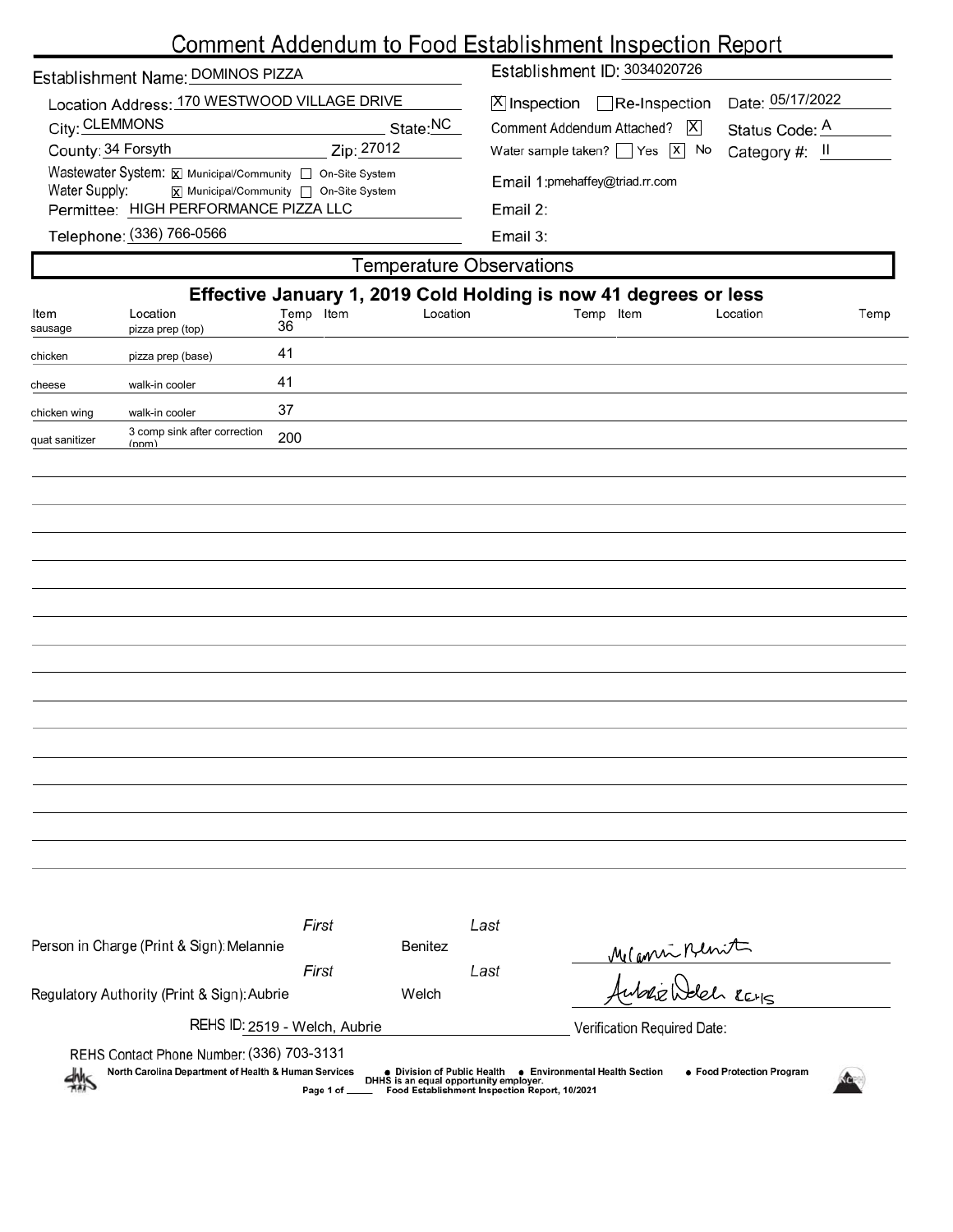|                                                                            |                                        | <u>Comment Addendum to Food Establishment Inspection Report</u>  |  |  |  |  |  |  |
|----------------------------------------------------------------------------|----------------------------------------|------------------------------------------------------------------|--|--|--|--|--|--|
| Establishment Name: DOMINOS PIZZA                                          |                                        | Establishment ID: 3034020726                                     |  |  |  |  |  |  |
| Location Address: 170 WESTWOOD VILLAGE DRIVE                               |                                        | Date: 05/17/2022<br>$X$ Inspection Re-Inspection                 |  |  |  |  |  |  |
| City: CLEMMONS                                                             | State:NC                               | Comment Addendum Attached?   X<br>Status Code: A                 |  |  |  |  |  |  |
| County: 34 Forsyth                                                         | Zip: 27012                             | Water sample taken? $\Box$ Yes $\Box$ No<br>Category #: II       |  |  |  |  |  |  |
| Wastewater System: X Municipal/Community   On-Site System<br>Water Supply: | X Municipal/Community   On-Site System | Email 1:pmehaffey@triad.rr.com                                   |  |  |  |  |  |  |
| Permittee: HIGH PERFORMANCE PIZZA LLC                                      |                                        | Email 2:                                                         |  |  |  |  |  |  |
| Telephone: (336) 766-0566                                                  |                                        | Email 3:                                                         |  |  |  |  |  |  |
|                                                                            |                                        | <b>Temperature Observations</b>                                  |  |  |  |  |  |  |
|                                                                            |                                        | Effective January 1, 2019 Cold Holding is now 41 degrees or less |  |  |  |  |  |  |
| Location<br>Item<br>pizza prep (top)<br>sausage                            | Temp Item<br>Location<br>36            | Temp Item<br>Location<br>Temp                                    |  |  |  |  |  |  |
| chicken<br>pizza prep (base)                                               | 41                                     |                                                                  |  |  |  |  |  |  |
| walk-in cooler<br>cheese                                                   | 41                                     |                                                                  |  |  |  |  |  |  |
| chicken wing<br>walk-in cooler                                             | 37                                     |                                                                  |  |  |  |  |  |  |
| 3 comp sink after correction<br>quat sanitizer<br>(nnm)                    | 200                                    |                                                                  |  |  |  |  |  |  |
|                                                                            |                                        |                                                                  |  |  |  |  |  |  |
|                                                                            |                                        |                                                                  |  |  |  |  |  |  |
|                                                                            |                                        |                                                                  |  |  |  |  |  |  |
|                                                                            |                                        |                                                                  |  |  |  |  |  |  |
|                                                                            |                                        |                                                                  |  |  |  |  |  |  |
|                                                                            |                                        |                                                                  |  |  |  |  |  |  |
|                                                                            |                                        |                                                                  |  |  |  |  |  |  |
|                                                                            |                                        |                                                                  |  |  |  |  |  |  |
|                                                                            |                                        |                                                                  |  |  |  |  |  |  |
|                                                                            |                                        |                                                                  |  |  |  |  |  |  |
|                                                                            |                                        |                                                                  |  |  |  |  |  |  |
|                                                                            |                                        |                                                                  |  |  |  |  |  |  |
|                                                                            |                                        |                                                                  |  |  |  |  |  |  |
|                                                                            |                                        |                                                                  |  |  |  |  |  |  |
|                                                                            |                                        |                                                                  |  |  |  |  |  |  |
|                                                                            |                                        |                                                                  |  |  |  |  |  |  |

|                                                                                                                                                                                                                                                                                       | First                       |                | Last |                   |  |  |  |  |
|---------------------------------------------------------------------------------------------------------------------------------------------------------------------------------------------------------------------------------------------------------------------------------------|-----------------------------|----------------|------|-------------------|--|--|--|--|
| Person in Charge (Print & Sign): Melannie                                                                                                                                                                                                                                             |                             | <b>Benitez</b> |      | Meanin Renit      |  |  |  |  |
|                                                                                                                                                                                                                                                                                       | First                       |                | Last |                   |  |  |  |  |
| Regulatory Authority (Print & Sign): Aubrie                                                                                                                                                                                                                                           |                             | Welch          |      | Aubrie Welch REHS |  |  |  |  |
| REHS ID: 2519 - Welch, Aubrie                                                                                                                                                                                                                                                         | Verification Required Date: |                |      |                   |  |  |  |  |
| REHS Contact Phone Number: (336) 703-3131                                                                                                                                                                                                                                             |                             |                |      |                   |  |  |  |  |
| North Carolina Department of Health & Human Services<br>• Environmental Health Section<br>• Food Protection Program<br>● Division of Public Health<br>$\frac{dM_S}{dM}$<br>DHHS is an equal opportunity employer.<br>Food Establishment Inspection Report, 10/2021<br>Page 1 of _____ |                             |                |      |                   |  |  |  |  |